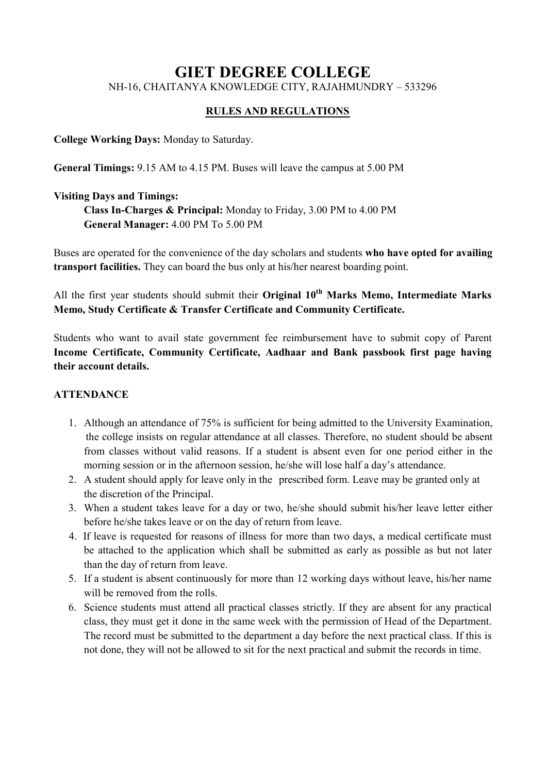# GIET DEGREE COLLEGE NH-16, CHAITANYA KNOWLEDGE CITY, RAJAHMUNDRY – 533296

### RULES AND REGULATIONS

College Working Days: Monday to Saturday.

General Timings: 9.15 AM to 4.15 PM. Buses will leave the campus at 5.00 PM

### Visiting Days and Timings:

Class In-Charges & Principal: Monday to Friday, 3.00 PM to 4.00 PM General Manager: 4.00 PM To 5.00 PM

Buses are operated for the convenience of the day scholars and students who have opted for availing transport facilities. They can board the bus only at his/her nearest boarding point.

All the first year students should submit their Original  $10<sup>th</sup>$  Marks Memo, Intermediate Marks Memo, Study Certificate & Transfer Certificate and Community Certificate.

Students who want to avail state government fee reimbursement have to submit copy of Parent Income Certificate, Community Certificate, Aadhaar and Bank passbook first page having their account details.

# **ATTENDANCE**

- 1. Although an attendance of 75% is sufficient for being admitted to the University Examination, the college insists on regular attendance at all classes. Therefore, no student should be absent from classes without valid reasons. If a student is absent even for one period either in the morning session or in the afternoon session, he/she will lose half a day's attendance.
- 2. A student should apply for leave only in the prescribed form. Leave may be granted only at the discretion of the Principal.
- 3. When a student takes leave for a day or two, he/she should submit his/her leave letter either before he/she takes leave or on the day of return from leave.
- 4. If leave is requested for reasons of illness for more than two days, a medical certificate must be attached to the application which shall be submitted as early as possible as but not later than the day of return from leave.
- 5. If a student is absent continuously for more than 12 working days without leave, his/her name will be removed from the rolls.
- 6. Science students must attend all practical classes strictly. If they are absent for any practical class, they must get it done in the same week with the permission of Head of the Department. The record must be submitted to the department a day before the next practical class. If this is not done, they will not be allowed to sit for the next practical and submit the records in time.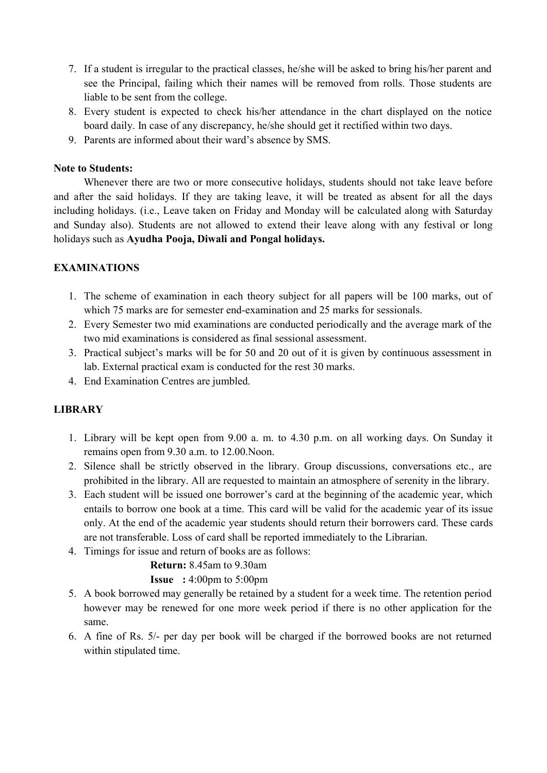- 7. If a student is irregular to the practical classes, he/she will be asked to bring his/her parent and see the Principal, failing which their names will be removed from rolls. Those students are liable to be sent from the college.
- 8. Every student is expected to check his/her attendance in the chart displayed on the notice board daily. In case of any discrepancy, he/she should get it rectified within two days.
- 9. Parents are informed about their ward's absence by SMS.

### Note to Students:

Whenever there are two or more consecutive holidays, students should not take leave before and after the said holidays. If they are taking leave, it will be treated as absent for all the days including holidays. (i.e., Leave taken on Friday and Monday will be calculated along with Saturday and Sunday also). Students are not allowed to extend their leave along with any festival or long holidays such as Ayudha Pooja, Diwali and Pongal holidays.

# EXAMINATIONS

- 1. The scheme of examination in each theory subject for all papers will be 100 marks, out of which 75 marks are for semester end-examination and 25 marks for sessionals.
- 2. Every Semester two mid examinations are conducted periodically and the average mark of the two mid examinations is considered as final sessional assessment.
- 3. Practical subject's marks will be for 50 and 20 out of it is given by continuous assessment in lab. External practical exam is conducted for the rest 30 marks.
- 4. End Examination Centres are jumbled.

# LIBRARY

- 1. Library will be kept open from 9.00 a. m. to 4.30 p.m. on all working days. On Sunday it remains open from 9.30 a.m. to 12.00.Noon.
- 2. Silence shall be strictly observed in the library. Group discussions, conversations etc., are prohibited in the library. All are requested to maintain an atmosphere of serenity in the library.
- 3. Each student will be issued one borrower's card at the beginning of the academic year, which entails to borrow one book at a time. This card will be valid for the academic year of its issue only. At the end of the academic year students should return their borrowers card. These cards are not transferable. Loss of card shall be reported immediately to the Librarian.
- 4. Timings for issue and return of books are as follows:

#### Return: 8.45am to 9.30am

#### **Issue** :  $4:00 \text{pm}$  to  $5:00 \text{pm}$

- 5. A book borrowed may generally be retained by a student for a week time. The retention period however may be renewed for one more week period if there is no other application for the same.
- 6. A fine of Rs. 5/- per day per book will be charged if the borrowed books are not returned within stipulated time.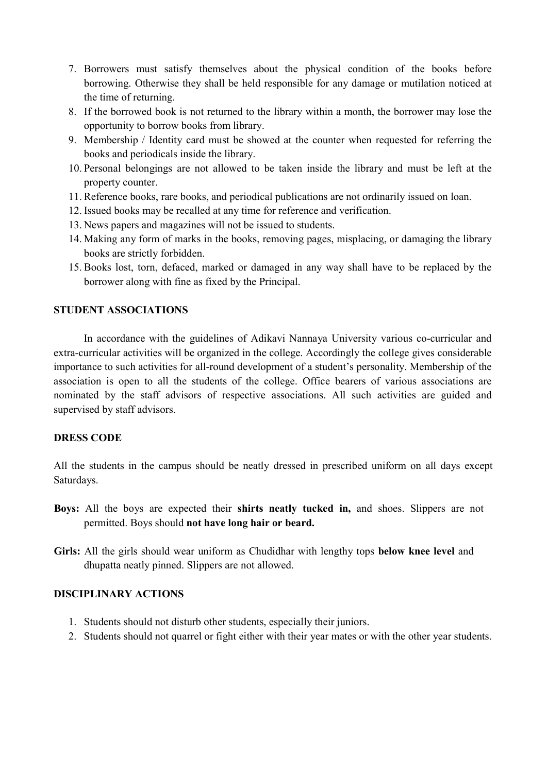- 7. Borrowers must satisfy themselves about the physical condition of the books before borrowing. Otherwise they shall be held responsible for any damage or mutilation noticed at the time of returning.
- 8. If the borrowed book is not returned to the library within a month, the borrower may lose the opportunity to borrow books from library.
- 9. Membership / Identity card must be showed at the counter when requested for referring the books and periodicals inside the library.
- 10. Personal belongings are not allowed to be taken inside the library and must be left at the property counter.
- 11. Reference books, rare books, and periodical publications are not ordinarily issued on loan.
- 12. Issued books may be recalled at any time for reference and verification.
- 13. News papers and magazines will not be issued to students.
- 14. Making any form of marks in the books, removing pages, misplacing, or damaging the library books are strictly forbidden.
- 15. Books lost, torn, defaced, marked or damaged in any way shall have to be replaced by the borrower along with fine as fixed by the Principal.

### STUDENT ASSOCIATIONS

In accordance with the guidelines of Adikavi Nannaya University various co-curricular and extra-curricular activities will be organized in the college. Accordingly the college gives considerable importance to such activities for all-round development of a student's personality. Membership of the association is open to all the students of the college. Office bearers of various associations are nominated by the staff advisors of respective associations. All such activities are guided and supervised by staff advisors.

#### DRESS CODE

All the students in the campus should be neatly dressed in prescribed uniform on all days except Saturdays.

- Boys: All the boys are expected their shirts neatly tucked in, and shoes. Slippers are not permitted. Boys should not have long hair or beard.
- Girls: All the girls should wear uniform as Chudidhar with lengthy tops below knee level and dhupatta neatly pinned. Slippers are not allowed.

### DISCIPLINARY ACTIONS

- 1. Students should not disturb other students, especially their juniors.
- 2. Students should not quarrel or fight either with their year mates or with the other year students.